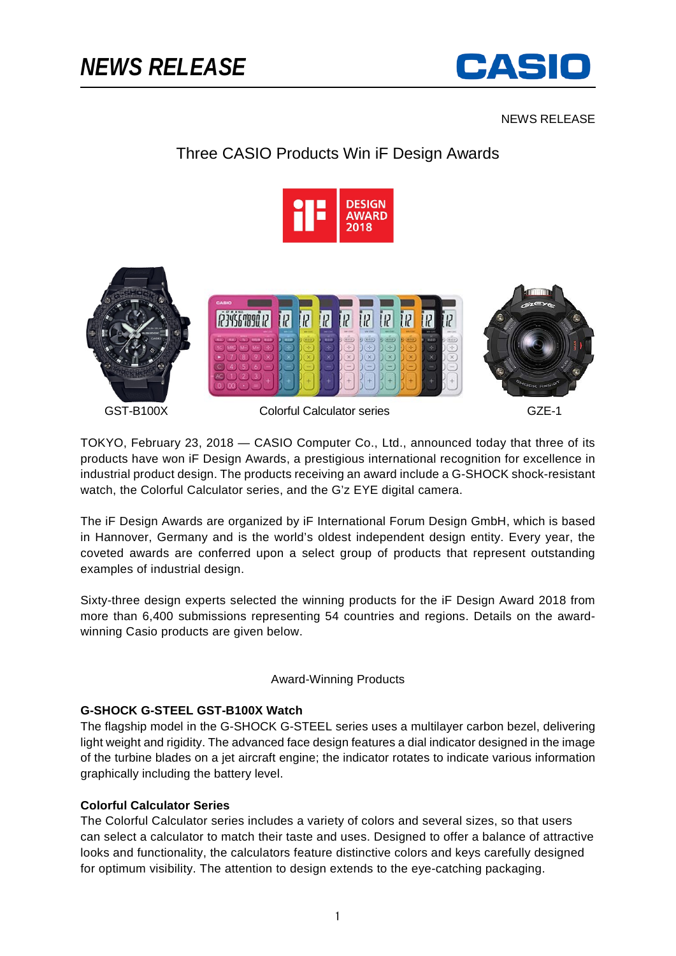

NEWS RELEASE

# Three CASIO Products Win iF Design Awards





TOKYO, February 23, 2018 — CASIO Computer Co., Ltd., announced today that three of its products have won iF Design Awards, a prestigious international recognition for excellence in industrial product design. The products receiving an award include a G-SHOCK shock-resistant watch, the Colorful Calculator series, and the G'z EYE digital camera.

The iF Design Awards are organized by iF International Forum Design GmbH, which is based in Hannover, Germany and is the world's oldest independent design entity. Every year, the coveted awards are conferred upon a select group of products that represent outstanding examples of industrial design.

Sixty-three design experts selected the winning products for the iF Design Award 2018 from more than 6,400 submissions representing 54 countries and regions. Details on the awardwinning Casio products are given below.

#### Award-Winning Products

## **G-SHOCK G-STEEL GST-B100X Watch**

The flagship model in the G-SHOCK G-STEEL series uses a multilayer carbon bezel, delivering light weight and rigidity. The advanced face design features a dial indicator designed in the image of the turbine blades on a jet aircraft engine; the indicator rotates to indicate various information graphically including the battery level.

## **Colorful Calculator Series**

The Colorful Calculator series includes a variety of colors and several sizes, so that users can select a calculator to match their taste and uses. Designed to offer a balance of attractive looks and functionality, the calculators feature distinctive colors and keys carefully designed for optimum visibility. The attention to design extends to the eye-catching packaging.